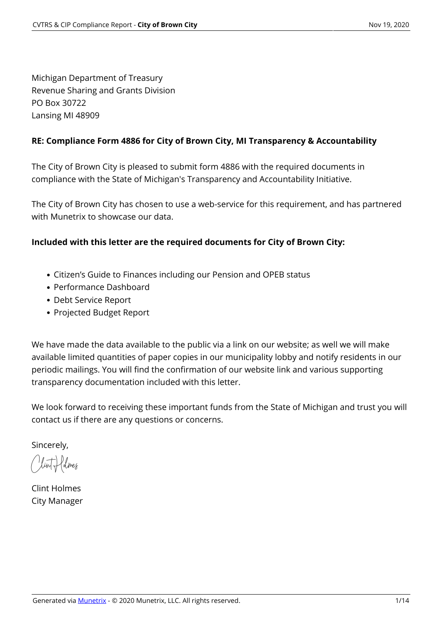Michigan Department of Treasury Revenue Sharing and Grants Division PO Box 30722 Lansing MI 48909

### **RE: Compliance Form 4886 for City of Brown City, MI Transparency & Accountability**

The City of Brown City is pleased to submit form 4886 with the required documents in compliance with the State of Michigan's Transparency and Accountability Initiative.

The City of Brown City has chosen to use a web-service for this requirement, and has partnered with Munetrix to showcase our data.

### **Included with this letter are the required documents for City of Brown City:**

- Citizen's Guide to Finances including our Pension and OPEB status
- Performance Dashboard
- Debt Service Report
- Projected Budget Report

We have made the data available to the public via a link on our website; as well we will make available limited quantities of paper copies in our municipality lobby and notify residents in our periodic mailings. You will find the confirmation of our website link and various supporting transparency documentation included with this letter.

We look forward to receiving these important funds from the State of Michigan and trust you will contact us if there are any questions or concerns.

Sincerely,

Clint Holmes

Clint Holmes City Manager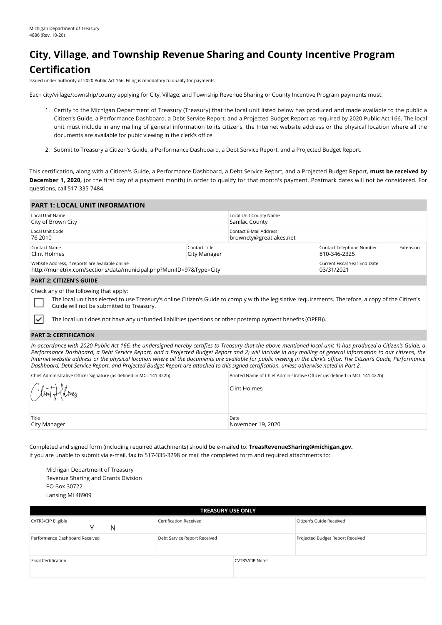## **City, Village, and Township Revenue Sharing and County Incentive Program Certification**

Issued under authority of 2020 Public Act 166. Filing is mandatory to qualify for payments.

Each city/village/township/county applying for City, Village, and Township Revenue Sharing or County Incentive Program payments must:

- 1. Certify to the Michigan Department of Treasury (Treasury) that the local unit listed below has produced and made available to the public a Citizen's Guide, a Performance Dashboard, a Debt Service Report, and a Projected Budget Report as required by 2020 Public Act 166. The local unit must include in any mailing of general information to its citizens, the Internet website address or the physical location where all the documents are available for pubic viewing in the clerk's office.
- 2. Submit to Treasury a Citizen's Guide, a Performance Dashboard, a Debt Service Report, and a Projected Budget Report.

This certification, along with a Citizen's Guide, a Performance Dashboard, a Debt Service Report, and a Projected Budget Report, **must be received by December 1, 2020,** (or the first day of a payment month) in order to qualify for that month's payment. Postmark dates will not be considered. For questions, call 517-335-7484.

| <b>PART 1: LOCAL UNIT INFORMATION</b>                                                                                   |                               |                                                   |                                            |           |  |
|-------------------------------------------------------------------------------------------------------------------------|-------------------------------|---------------------------------------------------|--------------------------------------------|-----------|--|
| Local Unit Name<br>City of Brown City                                                                                   |                               | Local Unit County Name<br>Sanilac County          |                                            |           |  |
| Local Unit Code<br>76 2010                                                                                              |                               | Contact E-Mail Address<br>browncty@greatlakes.net |                                            |           |  |
| Contact Name<br>Clint Holmes                                                                                            | Contact Title<br>City Manager |                                                   | Contact Telephone Number<br>810-346-2325   | Extension |  |
| Website Address, if reports are available online<br>http://munetrix.com/sections/data/municipal.php?MunilD=97&Type=City |                               |                                                   | Current Fiscal Year End Date<br>03/31/2021 |           |  |
| <b>PART 2: CITIZEN'S GUIDE</b>                                                                                          |                               |                                                   |                                            |           |  |
| Check any of the following that apply:                                                                                  |                               |                                                   |                                            |           |  |

Check any of the following that apply:

The local unit has elected to use Treasury's online Citizen's Guide to comply with the legislative requirements. Therefore, a copy of the Citizen's Guide will not be submitted to Treasury.

The local unit does not have any unfunded liabilities (pensions or other postemployment benefits (OPEB)).

#### **PART 3: CERTIFICATION**

₹

*In accordance with 2020 Public Act 166, the undersigned hereby certifies to Treasury that the above mentioned local unit 1) has produced a Citizen's Guide, a Performance Dashboard, a Debt Service Report, and a Projected Budget Report and 2) will include in any mailing of general information to our citizens, the Internet website address or the physical location where all the documents are available for public viewing in the clerk's office. The Citizen's Guide, Performance Dashboard, Debt Service Report, and Projected Budget Report are attached to this signed certification, unless otherwise noted in Part 2.*

| Chief Administrative Officer Signature (as defined in MCL 141.422b) | Printed Name of Chief Administrative Officer (as defined in MCL 141.422b) |
|---------------------------------------------------------------------|---------------------------------------------------------------------------|
| Clint follnes                                                       | Clint Holmes                                                              |
| Title<br>City Manager                                               | Date<br>November 19, 2020                                                 |

Completed and signed form (including required attachments) should be e-mailed to: **TreasRevenueSharing@michigan.gov.** If you are unable to submit via e-mail, fax to 517-335-3298 or mail the completed form and required attachments to:

Michigan Department of Treasury Revenue Sharing and Grants Division PO Box 30722 Lansing MI 48909

| <b>TREASURY USE ONLY</b>            |                              |                        |                                  |  |  |  |  |  |
|-------------------------------------|------------------------------|------------------------|----------------------------------|--|--|--|--|--|
| <b>CVTRS/CIP Eligible</b><br>N<br>v | Certification Received       |                        | Citizen's Guide Received         |  |  |  |  |  |
| Performance Dashboard Received      | Debt Service Report Received |                        | Projected Budget Report Received |  |  |  |  |  |
| Final Certification                 |                              | <b>CVTRS/CIP Notes</b> |                                  |  |  |  |  |  |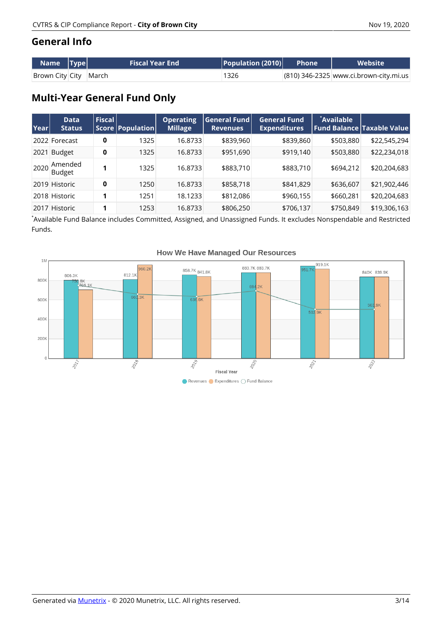## **General Info**

| Name  Type            | <b>Fiscal Year End</b> | $ $ Population (2010) $ $ | Phone | <b>Website</b>                         |
|-----------------------|------------------------|---------------------------|-------|----------------------------------------|
| Brown City City March |                        | 1326                      |       | (810) 346-2325 www.ci.brown-city.mi.us |

## **Multi-Year General Fund Only**

| Year | <b>Data</b><br><b>Status</b> | Fiscal | Score Population | <b>Operating</b><br><b>Millage</b> | General Fund<br><b>Revenues</b> | <b>General Fund</b><br><b>Expenditures</b> | `Available | <b>Fund Balance Taxable Value</b> |
|------|------------------------------|--------|------------------|------------------------------------|---------------------------------|--------------------------------------------|------------|-----------------------------------|
|      | 2022 Forecast                | 0      | 1325             | 16.8733                            | \$839,960                       | \$839,860                                  | \$503,880  | \$22,545,294                      |
| 2021 | Budget                       | 0      | 1325             | 16.8733                            | \$951,690                       | \$919,140                                  | \$503,880  | \$22,234,018                      |
| 2020 | Amended<br>Budget            | 1      | 1325             | 16.8733                            | \$883,710                       | \$883,710                                  | \$694,212  | \$20,204,683                      |
|      | 2019 Historic                | 0      | 1250             | 16.8733                            | \$858,718                       | \$841,829                                  | \$636,607  | \$21,902,446                      |
|      | 2018 Historic                | 1      | 1251             | 18.1233                            | \$812,086                       | \$960,155                                  | \$660,281  | \$20,204,683                      |
|      | 2017 Historic                | 1      | 1253             | 16.8733                            | \$806,250                       | \$706,137                                  | \$750,849  | \$19,306,163                      |

\* Available Fund Balance includes Committed, Assigned, and Unassigned Funds. It excludes Nonspendable and Restricted Funds.



#### **How We Have Managed Our Resources**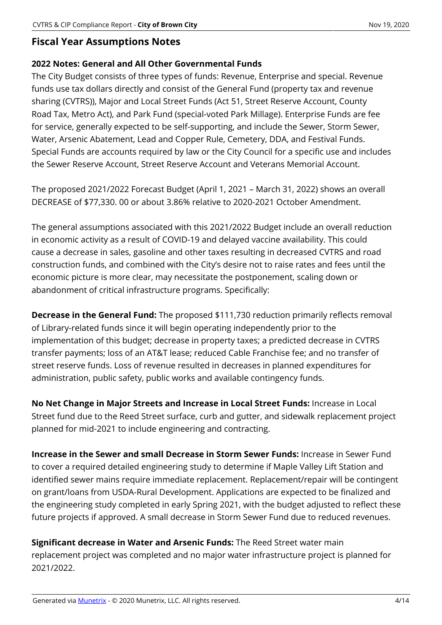### **Fiscal Year Assumptions Notes**

### **2022 Notes: General and All Other Governmental Funds**

The City Budget consists of three types of funds: Revenue, Enterprise and special. Revenue funds use tax dollars directly and consist of the General Fund (property tax and revenue sharing (CVTRS)), Major and Local Street Funds (Act 51, Street Reserve Account, County Road Tax, Metro Act), and Park Fund (special-voted Park Millage). Enterprise Funds are fee for service, generally expected to be self-supporting, and include the Sewer, Storm Sewer, Water, Arsenic Abatement, Lead and Copper Rule, Cemetery, DDA, and Festival Funds. Special Funds are accounts required by law or the City Council for a specific use and includes the Sewer Reserve Account, Street Reserve Account and Veterans Memorial Account.

The proposed 2021/2022 Forecast Budget (April 1, 2021 – March 31, 2022) shows an overall DECREASE of \$77,330. 00 or about 3.86% relative to 2020-2021 October Amendment.

The general assumptions associated with this 2021/2022 Budget include an overall reduction in economic activity as a result of COVID-19 and delayed vaccine availability. This could cause a decrease in sales, gasoline and other taxes resulting in decreased CVTRS and road construction funds, and combined with the City's desire not to raise rates and fees until the economic picture is more clear, may necessitate the postponement, scaling down or abandonment of critical infrastructure programs. Specifically:

**Decrease in the General Fund:** The proposed \$111,730 reduction primarily reflects removal of Library-related funds since it will begin operating independently prior to the implementation of this budget; decrease in property taxes; a predicted decrease in CVTRS transfer payments; loss of an AT&T lease; reduced Cable Franchise fee; and no transfer of street reserve funds. Loss of revenue resulted in decreases in planned expenditures for administration, public safety, public works and available contingency funds.

**No Net Change in Major Streets and Increase in Local Street Funds:** Increase in Local Street fund due to the Reed Street surface, curb and gutter, and sidewalk replacement project planned for mid-2021 to include engineering and contracting.

**Increase in the Sewer and small Decrease in Storm Sewer Funds:** Increase in Sewer Fund to cover a required detailed engineering study to determine if Maple Valley Lift Station and identified sewer mains require immediate replacement. Replacement/repair will be contingent on grant/loans from USDA-Rural Development. Applications are expected to be finalized and the engineering study completed in early Spring 2021, with the budget adjusted to reflect these future projects if approved. A small decrease in Storm Sewer Fund due to reduced revenues.

**Significant decrease in Water and Arsenic Funds:** The Reed Street water main replacement project was completed and no major water infrastructure project is planned for 2021/2022.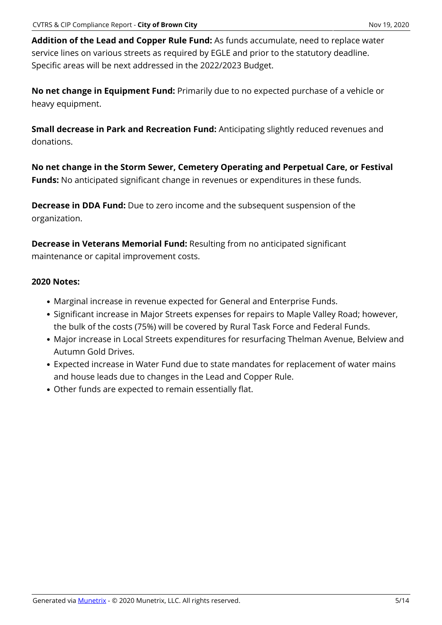**Addition of the Lead and Copper Rule Fund:** As funds accumulate, need to replace water service lines on various streets as required by EGLE and prior to the statutory deadline. Specific areas will be next addressed in the 2022/2023 Budget.

**No net change in Equipment Fund:** Primarily due to no expected purchase of a vehicle or heavy equipment.

**Small decrease in Park and Recreation Fund:** Anticipating slightly reduced revenues and donations.

**No net change in the Storm Sewer, Cemetery Operating and Perpetual Care, or Festival Funds:** No anticipated significant change in revenues or expenditures in these funds.

**Decrease in DDA Fund:** Due to zero income and the subsequent suspension of the organization.

**Decrease in Veterans Memorial Fund:** Resulting from no anticipated significant maintenance or capital improvement costs.

### **2020 Notes:**

- Marginal increase in revenue expected for General and Enterprise Funds.
- Significant increase in Major Streets expenses for repairs to Maple Valley Road; however, the bulk of the costs (75%) will be covered by Rural Task Force and Federal Funds.
- Major increase in Local Streets expenditures for resurfacing Thelman Avenue, Belview and Autumn Gold Drives.
- Expected increase in Water Fund due to state mandates for replacement of water mains and house leads due to changes in the Lead and Copper Rule.
- Other funds are expected to remain essentially flat.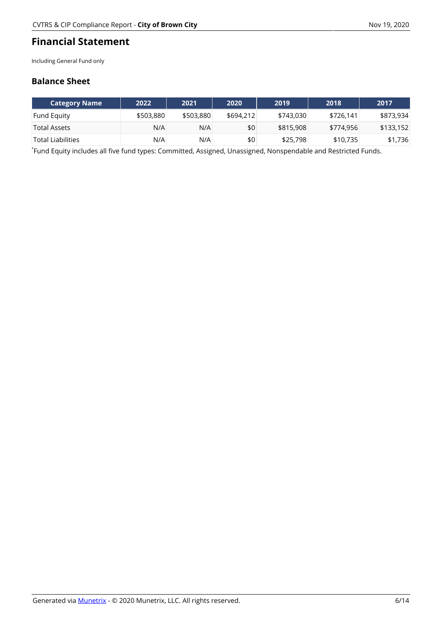### **Financial Statement**

Including General Fund only

### **Balance Sheet**

|                    | 2022      | 2021      | 2020      | 2019      | 2018      | 2017      |
|--------------------|-----------|-----------|-----------|-----------|-----------|-----------|
| <b>Fund Equity</b> | \$503,880 | \$503,880 | \$694,212 | \$743,030 | \$726.141 | \$873,934 |
| Total Assets       | N/A       | N/A       | \$0       | \$815,908 | \$774,956 | \$133,152 |
| Total Liabilities  | N/A       | N/A       | \$0       | \$25,798  | \$10,735  | \$1,736   |

\* Fund Equity includes all five fund types: Committed, Assigned, Unassigned, Nonspendable and Restricted Funds.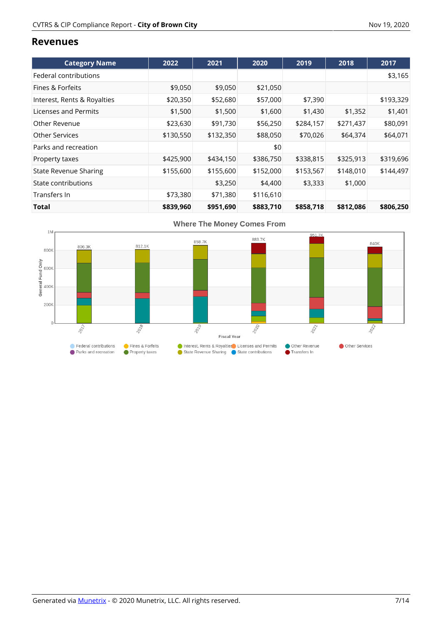#### **Revenues**

| <b>Category Name</b>         | 2022      | 2021      | 2020      | 2019      | 2018      | 2017      |
|------------------------------|-----------|-----------|-----------|-----------|-----------|-----------|
| Federal contributions        |           |           |           |           |           | \$3,165   |
| Fines & Forfeits             | \$9,050   | \$9,050   | \$21,050  |           |           |           |
| Interest, Rents & Royalties  | \$20,350  | \$52,680  | \$57,000  | \$7,390   |           | \$193,329 |
| Licenses and Permits         | \$1,500   | \$1,500   | \$1,600   | \$1,430   | \$1,352   | \$1,401   |
| Other Revenue                | \$23,630  | \$91,730  | \$56,250  | \$284,157 | \$271,437 | \$80,091  |
| <b>Other Services</b>        | \$130,550 | \$132,350 | \$88,050  | \$70,026  | \$64,374  | \$64,071  |
| Parks and recreation         |           |           | \$0       |           |           |           |
| Property taxes               | \$425,900 | \$434,150 | \$386,750 | \$338,815 | \$325,913 | \$319,696 |
| <b>State Revenue Sharing</b> | \$155,600 | \$155,600 | \$152,000 | \$153,567 | \$148,010 | \$144,497 |
| State contributions          |           | \$3,250   | \$4,400   | \$3,333   | \$1,000   |           |
| Transfers In                 | \$73,380  | \$71,380  | \$116,610 |           |           |           |
| Total                        | \$839,960 | \$951,690 | \$883,710 | \$858,718 | \$812,086 | \$806,250 |

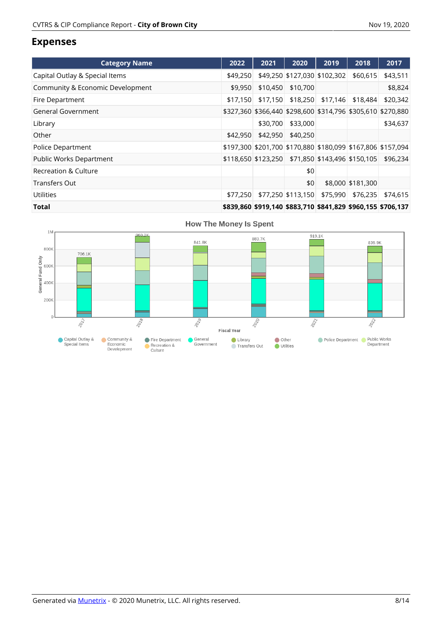### **Expenses**

| <b>Category Name</b>             | 2022     | 2021                                                   | 2020                         | 2019     | 2018              | 2017                                                        |
|----------------------------------|----------|--------------------------------------------------------|------------------------------|----------|-------------------|-------------------------------------------------------------|
| Capital Outlay & Special Items   | \$49,250 |                                                        | \$49,250 \$127,030 \$102,302 |          | \$60,615          | \$43,511                                                    |
| Community & Economic Development | \$9,950  | \$10,450                                               | \$10,700                     |          |                   | \$8,824                                                     |
| Fire Department                  | \$17,150 | \$17,150                                               | \$18,250                     | \$17,146 | \$18,484          | \$20,342                                                    |
| <b>General Government</b>        |          |                                                        |                              |          |                   | \$327,360 \$366,440 \$298,600 \$314,796 \$305,610 \$270,880 |
| Library                          |          | \$30,700                                               | \$33,000                     |          |                   | \$34,637                                                    |
| Other                            | \$42,950 | \$42,950                                               | \$40,250                     |          |                   |                                                             |
| Police Department                |          |                                                        |                              |          |                   | \$197,300 \$201,700 \$170,880 \$180,099 \$167,806 \$157,094 |
| Public Works Department          |          | \$118,650 \$123,250 \$71,850 \$143,496 \$150,105       |                              |          |                   | \$96,234                                                    |
| <b>Recreation &amp; Culture</b>  |          |                                                        | \$0                          |          |                   |                                                             |
| <b>Transfers Out</b>             |          |                                                        | \$0                          |          | \$8,000 \$181,300 |                                                             |
| <b>Utilities</b>                 | \$77,250 |                                                        | \$77,250 \$113,150           | \$75,990 | \$76,235          | \$74,615                                                    |
| .                                |          | *^^^ ^^^ *^^ 4 10 *^^^ 740 *^ 14 ^^^ *^^^ 4FF *7^^ 4^7 |                              |          |                   |                                                             |

**Total \$839,860 \$919,140 \$883,710 \$841,829 \$960,155 \$706,137**

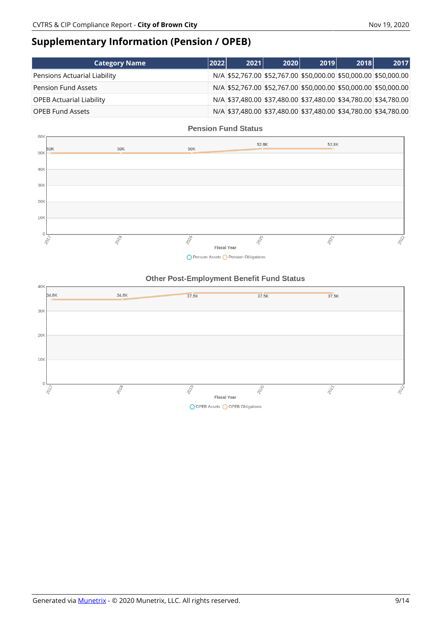## **Supplementary Information (Pension / OPEB)**

| <b>Category Name</b>            | 2022 | 2021                                                            | 2020 | 2019 | 2018 | 2017                                                            |
|---------------------------------|------|-----------------------------------------------------------------|------|------|------|-----------------------------------------------------------------|
| Pensions Actuarial Liability    |      |                                                                 |      |      |      | N/A \$52,767.00 \$52,767.00 \$50,000.00 \$50,000.00 \$50,000.00 |
| Pension Fund Assets             |      | N/A \$52,767.00 \$52,767.00 \$50,000.00 \$50,000.00 \$50,000.00 |      |      |      |                                                                 |
| <b>OPEB Actuarial Liability</b> |      | N/A \$37,480.00 \$37,480.00 \$37,480.00 \$34,780.00 \$34,780.00 |      |      |      |                                                                 |
| <b>OPEB Fund Assets</b>         |      |                                                                 |      |      |      | N/A \$37,480.00 \$37,480.00 \$37,480.00 \$34,780.00 \$34,780.00 |



O Pension Assets O Pension Obligations

#### **Other Post-Employment Benefit Fund Status**

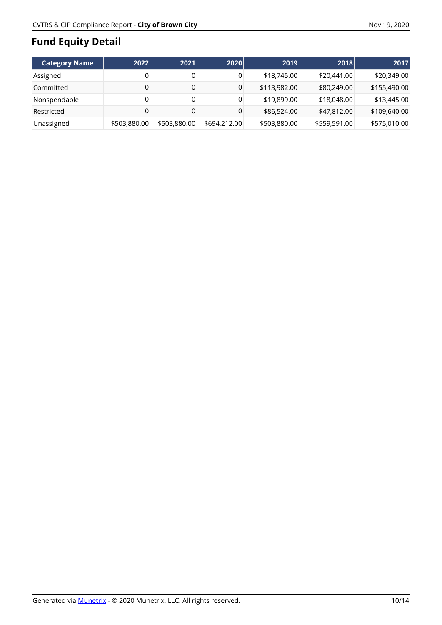## **Fund Equity Detail**

| Category Name | 2022         | 2021         | 2020         | 2019         | 2018         | 2017         |
|---------------|--------------|--------------|--------------|--------------|--------------|--------------|
| Assigned      |              | 0            | 0            | \$18,745.00  | \$20,441.00  | \$20,349.00  |
| Committed     |              | 0            | 0            | \$113,982.00 | \$80,249.00  | \$155,490.00 |
| Nonspendable  |              | 0            | 0            | \$19,899.00  | \$18,048.00  | \$13,445.00  |
| Restricted    |              |              | 0            | \$86,524.00  | \$47,812.00  | \$109,640.00 |
| Unassigned    | \$503,880.00 | \$503,880.00 | \$694,212,00 | \$503,880.00 | \$559,591.00 | \$575,010.00 |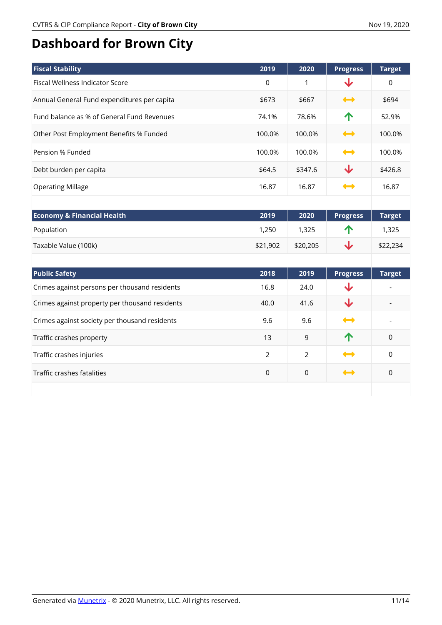# **Dashboard for Brown City**

| <b>Fiscal Stability</b>                        | 2019        | 2020           | <b>Progress</b>                                                                                                                                                                                                                                                                                                                                     | <b>Target</b> |
|------------------------------------------------|-------------|----------------|-----------------------------------------------------------------------------------------------------------------------------------------------------------------------------------------------------------------------------------------------------------------------------------------------------------------------------------------------------|---------------|
| <b>Fiscal Wellness Indicator Score</b>         | $\mathbf 0$ | $\mathbf{1}$   | ↓                                                                                                                                                                                                                                                                                                                                                   | $\Omega$      |
| Annual General Fund expenditures per capita    | \$673       | \$667          | $\begin{picture}(150,20) \put(0,0){\line(1,0){10}} \put(10,0){\line(1,0){10}} \put(10,0){\line(1,0){10}} \put(10,0){\line(1,0){10}} \put(10,0){\line(1,0){10}} \put(10,0){\line(1,0){10}} \put(10,0){\line(1,0){10}} \put(10,0){\line(1,0){10}} \put(10,0){\line(1,0){10}} \put(10,0){\line(1,0){10}} \put(10,0){\line(1,0){10}} \put(10,0){\line($ | \$694         |
| Fund balance as % of General Fund Revenues     | 74.1%       | 78.6%          | ↑                                                                                                                                                                                                                                                                                                                                                   | 52.9%         |
| Other Post Employment Benefits % Funded        | 100.0%      | 100.0%         | $\rightarrow$                                                                                                                                                                                                                                                                                                                                       | 100.0%        |
| Pension % Funded                               | 100.0%      | 100.0%         | $\rightarrow$                                                                                                                                                                                                                                                                                                                                       | 100.0%        |
| Debt burden per capita                         | \$64.5      | \$347.6        | ↓                                                                                                                                                                                                                                                                                                                                                   | \$426.8       |
| <b>Operating Millage</b>                       | 16.87       | 16.87          | ↔                                                                                                                                                                                                                                                                                                                                                   | 16.87         |
|                                                |             |                |                                                                                                                                                                                                                                                                                                                                                     |               |
| <b>Economy &amp; Financial Health</b>          | 2019        | 2020           | <b>Progress</b>                                                                                                                                                                                                                                                                                                                                     | <b>Target</b> |
| Population                                     | 1,250       | 1,325          | ↑                                                                                                                                                                                                                                                                                                                                                   | 1,325         |
| Taxable Value (100k)                           | \$21,902    | \$20,205       | ↓                                                                                                                                                                                                                                                                                                                                                   | \$22,234      |
|                                                |             |                |                                                                                                                                                                                                                                                                                                                                                     |               |
| <b>Public Safety</b>                           | 2018        | 2019           | <b>Progress</b>                                                                                                                                                                                                                                                                                                                                     | <b>Target</b> |
| Crimes against persons per thousand residents  | 16.8        | 24.0           | ↓                                                                                                                                                                                                                                                                                                                                                   |               |
| Crimes against property per thousand residents | 40.0        | 41.6           | ↓                                                                                                                                                                                                                                                                                                                                                   |               |
| Crimes against society per thousand residents  | 9.6         | 9.6            | $\leftrightarrow$                                                                                                                                                                                                                                                                                                                                   |               |
| Traffic crashes property                       | 13          | 9              | 个                                                                                                                                                                                                                                                                                                                                                   | $\Omega$      |
| Traffic crashes injuries                       | 2           | $\overline{2}$ |                                                                                                                                                                                                                                                                                                                                                     | $\mathbf 0$   |
| Traffic crashes fatalities                     | $\mathbf 0$ | 0              | $\leftrightarrow$                                                                                                                                                                                                                                                                                                                                   | $\mathbf 0$   |
|                                                |             |                |                                                                                                                                                                                                                                                                                                                                                     |               |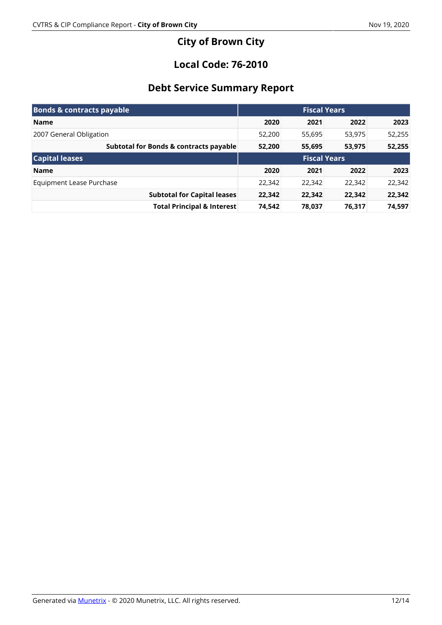## **City of Brown City**

## **Local Code: 76-2010**

## **Debt Service Summary Report**

| <b>Bonds &amp; contracts payable</b>   |                     |        | <b>Fiscal Years</b> |        |
|----------------------------------------|---------------------|--------|---------------------|--------|
| <b>Name</b>                            | 2020                | 2021   | 2022                | 2023   |
| 2007 General Obligation                | 52,200              | 55,695 | 53,975              | 52,255 |
| Subtotal for Bonds & contracts payable | 52,200              | 55,695 | 53,975              | 52,255 |
| <b>Capital leases</b>                  | <b>Fiscal Years</b> |        |                     |        |
| <b>Name</b>                            | 2020                | 2021   | 2022                | 2023   |
| Equipment Lease Purchase               | 22,342              | 22,342 | 22,342              | 22,342 |
| <b>Subtotal for Capital leases</b>     | 22,342              | 22,342 | 22,342              | 22,342 |
| <b>Total Principal &amp; Interest</b>  | 74,542              | 78,037 | 76,317              | 74,597 |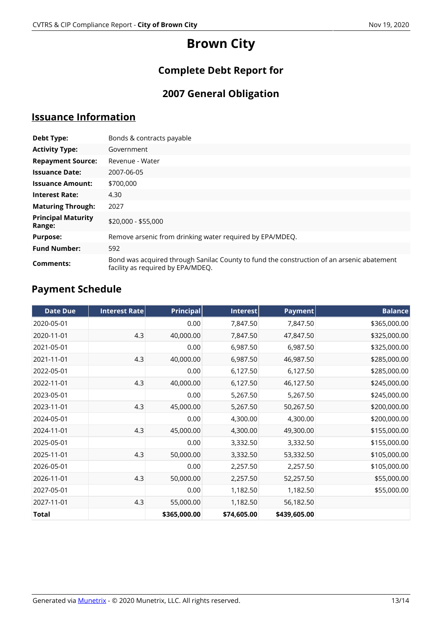# **Brown City**

## **Complete Debt Report for**

## **2007 General Obligation**

## **Issuance Information**

| <b>Debt Type:</b>                   | Bonds & contracts payable                                                                                                      |  |  |  |  |
|-------------------------------------|--------------------------------------------------------------------------------------------------------------------------------|--|--|--|--|
| <b>Activity Type:</b>               | Government                                                                                                                     |  |  |  |  |
| <b>Repayment Source:</b>            | Revenue - Water                                                                                                                |  |  |  |  |
| <b>Issuance Date:</b>               | 2007-06-05                                                                                                                     |  |  |  |  |
| <b>Issuance Amount:</b>             | \$700,000                                                                                                                      |  |  |  |  |
| <b>Interest Rate:</b>               | 4.30                                                                                                                           |  |  |  |  |
| <b>Maturing Through:</b>            | 2027                                                                                                                           |  |  |  |  |
| <b>Principal Maturity</b><br>Range: | \$20,000 - \$55,000                                                                                                            |  |  |  |  |
| <b>Purpose:</b>                     | Remove arsenic from drinking water required by EPA/MDEQ.                                                                       |  |  |  |  |
| <b>Fund Number:</b>                 | 592                                                                                                                            |  |  |  |  |
| Comments:                           | Bond was acquired through Sanilac County to fund the construction of an arsenic abatement<br>facility as required by EPA/MDEQ. |  |  |  |  |

## **Payment Schedule**

| <b>Date Due</b> | <b>Interest Rate</b> | <b>Principal</b> | Interest    | Payment      | <b>Balance</b> |
|-----------------|----------------------|------------------|-------------|--------------|----------------|
| 2020-05-01      |                      | 0.00             | 7,847.50    | 7,847.50     | \$365,000.00   |
| 2020-11-01      | 4.3                  | 40,000.00        | 7,847.50    | 47,847.50    | \$325,000.00   |
| 2021-05-01      |                      | 0.00             | 6,987.50    | 6,987.50     | \$325,000.00   |
| 2021-11-01      | 4.3                  | 40,000.00        | 6,987.50    | 46,987.50    | \$285,000.00   |
| 2022-05-01      |                      | 0.00             | 6,127.50    | 6,127.50     | \$285,000.00   |
| 2022-11-01      | 4.3                  | 40,000.00        | 6,127.50    | 46,127.50    | \$245,000.00   |
| 2023-05-01      |                      | 0.00             | 5,267.50    | 5,267.50     | \$245,000.00   |
| 2023-11-01      | 4.3                  | 45,000.00        | 5,267.50    | 50,267.50    | \$200,000.00   |
| 2024-05-01      |                      | 0.00             | 4,300.00    | 4,300.00     | \$200,000.00   |
| 2024-11-01      | 4.3                  | 45,000.00        | 4,300.00    | 49,300.00    | \$155,000.00   |
| 2025-05-01      |                      | 0.00             | 3,332.50    | 3,332.50     | \$155,000.00   |
| 2025-11-01      | 4.3                  | 50,000.00        | 3,332.50    | 53,332.50    | \$105,000.00   |
| 2026-05-01      |                      | 0.00             | 2,257.50    | 2,257.50     | \$105,000.00   |
| 2026-11-01      | 4.3                  | 50,000.00        | 2,257.50    | 52,257.50    | \$55,000.00    |
| 2027-05-01      |                      | 0.00             | 1,182.50    | 1,182.50     | \$55,000.00    |
| 2027-11-01      | 4.3                  | 55,000.00        | 1,182.50    | 56,182.50    |                |
| Total           |                      | \$365,000.00     | \$74,605.00 | \$439,605.00 |                |